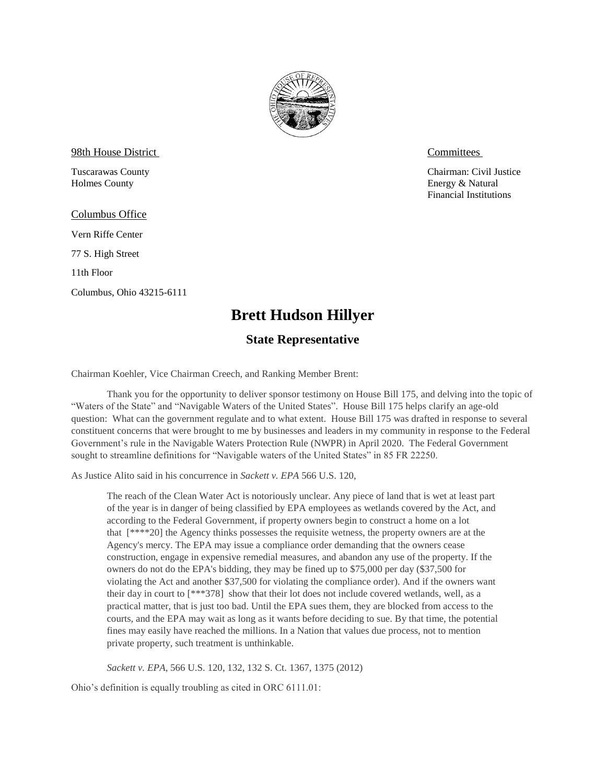

98th House District Committees

Holmes County **Energy & Natural** 

Columbus Office

Vern Riffe Center

77 S. High Street

11th Floor

Columbus, Ohio 43215-6111

Tuscarawas County Chairman: Civil Justice Financial Institutions

## **Brett Hudson Hillyer**

## **State Representative**

Chairman Koehler, Vice Chairman Creech, and Ranking Member Brent:

Thank you for the opportunity to deliver sponsor testimony on House Bill 175, and delving into the topic of "Waters of the State" and "Navigable Waters of the United States". House Bill 175 helps clarify an age-old question: What can the government regulate and to what extent. House Bill 175 was drafted in response to several constituent concerns that were brought to me by businesses and leaders in my community in response to the Federal Government's rule in the Navigable Waters Protection Rule (NWPR) in April 2020. The Federal Government sought to streamline definitions for "Navigable waters of the United States" in 85 FR 22250.

As Justice Alito said in his concurrence in *Sackett v. EPA* 566 U.S. 120,

The reach of the Clean Water Act is notoriously unclear. Any piece of land that is wet at least part of the year is in danger of being classified by EPA employees as wetlands covered by the Act, and according to the Federal Government, if property owners begin to construct a home on a lot that [\*\*\*\*20] the Agency thinks possesses the requisite wetness, the property owners are at the Agency's mercy. The EPA may issue a compliance order demanding that the owners cease construction, engage in expensive remedial measures, and abandon any use of the property. If the owners do not do the EPA's bidding, they may be fined up to \$75,000 per day (\$37,500 for violating the Act and another \$37,500 for violating the compliance order). And if the owners want their day in court to [\*\*\*378] show that their lot does not include covered wetlands, well, as a practical matter, that is just too bad. Until the EPA sues them, they are blocked from access to the courts, and the EPA may wait as long as it wants before deciding to sue. By that time, the potential fines may easily have reached the millions. In a Nation that values due process, not to mention private property, such treatment is unthinkable.

*Sackett v. EPA*, 566 U.S. 120, 132, 132 S. Ct. 1367, 1375 (2012)

Ohio's definition is equally troubling as cited in ORC 6111.01: